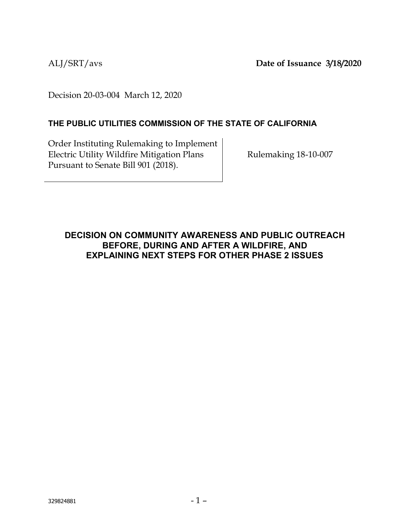ALJ/SRT/avs **Date of Issuance 3/18/2020**

Decision 20-03-004 March 12, 2020

## **THE PUBLIC UTILITIES COMMISSION OF THE STATE OF CALIFORNIA**

Order Instituting Rulemaking to Implement Electric Utility Wildfire Mitigation Plans Pursuant to Senate Bill 901 (2018).

Rulemaking 18-10-007

# **DECISION ON COMMUNITY AWARENESS AND PUBLIC OUTREACH BEFORE, DURING AND AFTER A WILDFIRE, AND EXPLAINING NEXT STEPS FOR OTHER PHASE 2 ISSUES**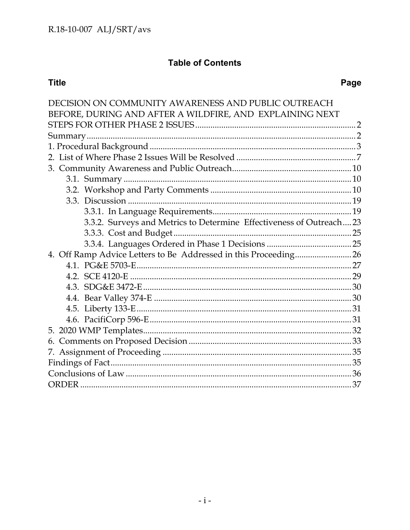# **Table of Contents**

# **Title**

# Page

| DECISION ON COMMUNITY AWARENESS AND PUBLIC OUTREACH                  |  |
|----------------------------------------------------------------------|--|
| BEFORE, DURING AND AFTER A WILDFIRE, AND EXPLAINING NEXT             |  |
|                                                                      |  |
|                                                                      |  |
|                                                                      |  |
|                                                                      |  |
|                                                                      |  |
|                                                                      |  |
|                                                                      |  |
|                                                                      |  |
|                                                                      |  |
| 3.3.2. Surveys and Metrics to Determine Effectiveness of Outreach 23 |  |
|                                                                      |  |
|                                                                      |  |
| 4. Off Ramp Advice Letters to Be Addressed in this Proceeding 26     |  |
|                                                                      |  |
|                                                                      |  |
|                                                                      |  |
|                                                                      |  |
|                                                                      |  |
|                                                                      |  |
|                                                                      |  |
|                                                                      |  |
|                                                                      |  |
|                                                                      |  |
|                                                                      |  |
|                                                                      |  |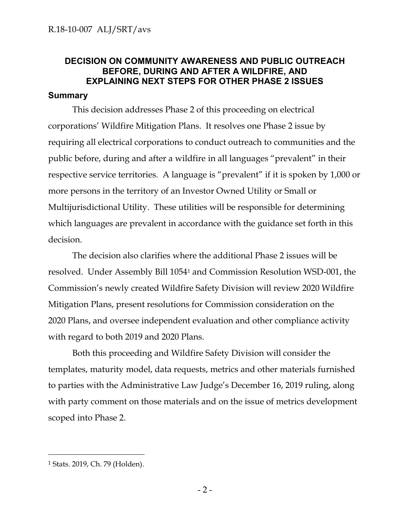# <span id="page-2-0"></span>**DECISION ON COMMUNITY AWARENESS AND PUBLIC OUTREACH BEFORE, DURING AND AFTER A WILDFIRE, AND EXPLAINING NEXT STEPS FOR OTHER PHASE 2 ISSUES**

### <span id="page-2-1"></span>**Summary**

This decision addresses Phase 2 of this proceeding on electrical corporations' Wildfire Mitigation Plans. It resolves one Phase 2 issue by requiring all electrical corporations to conduct outreach to communities and the public before, during and after a wildfire in all languages "prevalent" in their respective service territories. A language is "prevalent" if it is spoken by 1,000 or more persons in the territory of an Investor Owned Utility or Small or Multijurisdictional Utility. These utilities will be responsible for determining which languages are prevalent in accordance with the guidance set forth in this decision.

The decision also clarifies where the additional Phase 2 issues will be resolved. Under Assembly Bill 1054<sup>1</sup> and Commission Resolution WSD-001, the Commission's newly created Wildfire Safety Division will review 2020 Wildfire Mitigation Plans, present resolutions for Commission consideration on the 2020 Plans, and oversee independent evaluation and other compliance activity with regard to both 2019 and 2020 Plans.

Both this proceeding and Wildfire Safety Division will consider the templates, maturity model, data requests, metrics and other materials furnished to parties with the Administrative Law Judge's December 16, 2019 ruling, along with party comment on those materials and on the issue of metrics development scoped into Phase 2.

 $\overline{a}$ 

<sup>1</sup> Stats. 2019, Ch. 79 (Holden).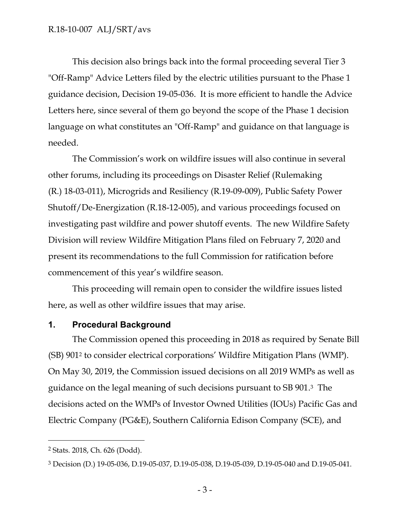This decision also brings back into the formal proceeding several Tier 3 "Off-Ramp" Advice Letters filed by the electric utilities pursuant to the Phase 1 guidance decision, Decision 19-05-036. It is more efficient to handle the Advice Letters here, since several of them go beyond the scope of the Phase 1 decision language on what constitutes an "Off-Ramp" and guidance on that language is needed.

The Commission's work on wildfire issues will also continue in several other forums, including its proceedings on Disaster Relief (Rulemaking (R.) 18-03-011), Microgrids and Resiliency (R.19-09-009), Public Safety Power Shutoff/De-Energization (R.18-12-005), and various proceedings focused on investigating past wildfire and power shutoff events. The new Wildfire Safety Division will review Wildfire Mitigation Plans filed on February 7, 2020 and present its recommendations to the full Commission for ratification before commencement of this year's wildfire season.

This proceeding will remain open to consider the wildfire issues listed here, as well as other wildfire issues that may arise.

#### <span id="page-3-0"></span>**1. Procedural Background**

The Commission opened this proceeding in 2018 as required by Senate Bill (SB) 901<sup>2</sup> to consider electrical corporations' Wildfire Mitigation Plans (WMP). On May 30, 2019, the Commission issued decisions on all 2019 WMPs as well as guidance on the legal meaning of such decisions pursuant to SB 901. <sup>3</sup> The decisions acted on the WMPs of Investor Owned Utilities (IOUs) Pacific Gas and Electric Company (PG&E), Southern California Edison Company (SCE), and

 $\overline{a}$ 

<sup>2</sup> Stats. 2018, Ch. 626 (Dodd).

<sup>3</sup> Decision (D.) 19-05-036, D.19-05-037, D.19-05-038, D.19-05-039, D.19-05-040 and D.19-05-041.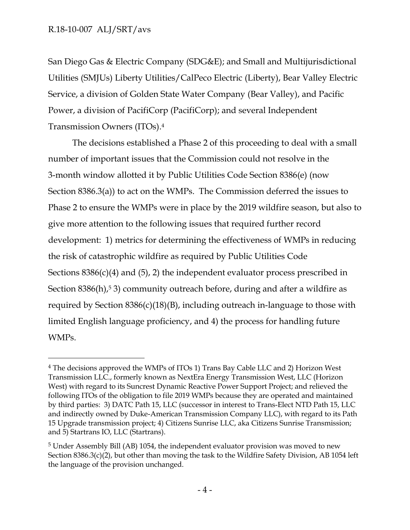$\overline{a}$ 

San Diego Gas & Electric Company (SDG&E); and Small and Multijurisdictional Utilities (SMJUs) Liberty Utilities/CalPeco Electric (Liberty), Bear Valley Electric Service, a division of Golden State Water Company (Bear Valley), and Pacific Power, a division of PacifiCorp (PacifiCorp); and several Independent Transmission Owners (ITOs). 4

The decisions established a Phase 2 of this proceeding to deal with a small number of important issues that the Commission could not resolve in the 3-month window allotted it by Public Utilities Code Section 8386(e) (now Section 8386.3(a)) to act on the WMPs. The Commission deferred the issues to Phase 2 to ensure the WMPs were in place by the 2019 wildfire season, but also to give more attention to the following issues that required further record development: 1) metrics for determining the effectiveness of WMPs in reducing the risk of catastrophic wildfire as required by Public Utilities Code Sections  $8386(c)(4)$  and  $(5)$ , 2) the independent evaluator process prescribed in Section  $8386(h)$ ,<sup>5</sup> 3) community outreach before, during and after a wildfire as required by Section 8386(c)(18)(B), including outreach in-language to those with limited English language proficiency, and 4) the process for handling future WMPs.

<sup>4</sup> The decisions approved the WMPs of ITOs 1) Trans Bay Cable LLC and 2) Horizon West Transmission LLC., formerly known as NextEra Energy Transmission West, LLC (Horizon West) with regard to its Suncrest Dynamic Reactive Power Support Project; and relieved the following ITOs of the obligation to file 2019 WMPs because they are operated and maintained by third parties: 3) DATC Path 15, LLC (successor in interest to Trans-Elect NTD Path 15, LLC and indirectly owned by Duke-American Transmission Company LLC), with regard to its Path 15 Upgrade transmission project; 4) Citizens Sunrise LLC, aka Citizens Sunrise Transmission; and 5) Startrans IO, LLC (Startrans).

<sup>5</sup> Under Assembly Bill (AB) 1054, the independent evaluator provision was moved to new Section 8386.3(c)(2), but other than moving the task to the Wildfire Safety Division, AB 1054 left the language of the provision unchanged.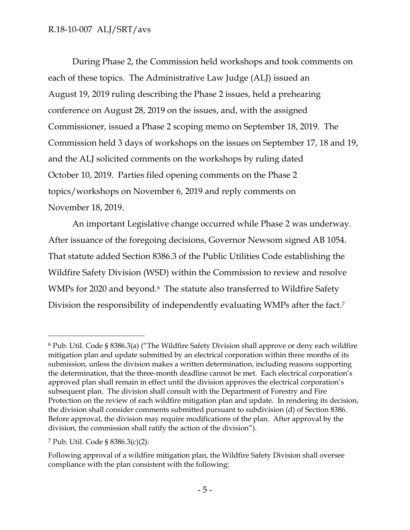During Phase 2, the Commission held workshops and took comments on each of these topics. The Administrative Law Judge (ALJ) issued an August 19, 2019 ruling describing the Phase 2 issues, held a prehearing conference on August 28, 2019 on the issues, and, with the assigned Commissioner, issued a Phase 2 scoping memo on September 18, 2019. The Commission held 3 days of workshops on the issues on September 17, 18 and 19, and the ALJ solicited comments on the workshops by ruling dated October 10, 2019. Parties filed opening comments on the Phase 2 topics/workshops on November 6, 2019 and reply comments on November 18, 2019.

An important Legislative change occurred while Phase 2 was underway. After issuance of the foregoing decisions, Governor Newsom signed AB 1054. That statute added Section 8386.3 of the Public Utilities Code establishing the Wildfire Safety Division (WSD) within the Commission to review and resolve WMPs for 2020 and beyond.<sup>6</sup> The statute also transferred to Wildfire Safety Division the responsibility of independently evaluating WMPs after the fact. 7

 $\overline{a}$ 

<sup>6</sup> Pub. Util. Code § 8386.3(a) ("The Wildfire Safety Division shall approve or deny each wildfire mitigation plan and update submitted by an electrical corporation within three months of its submission, unless the division makes a written determination, including reasons supporting the determination, that the three-month deadline cannot be met. Each electrical corporation's approved plan shall remain in effect until the division approves the electrical corporation's subsequent plan. The division shall consult with the Department of Forestry and Fire Protection on the review of each wildfire mitigation plan and update. In rendering its decision, the division shall consider comments submitted pursuant to subdivision (d) of Section 8386. Before approval, the division may require modifications of the plan. After approval by the division, the commission shall ratify the action of the division").

<sup>7</sup> Pub. Util. Code § 8386.3(c)(2):

Following approval of a wildfire mitigation plan, the Wildfire Safety Division shall oversee compliance with the plan consistent with the following: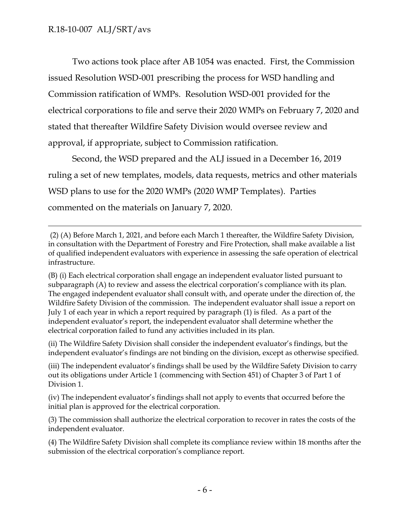$\overline{a}$ 

Two actions took place after AB 1054 was enacted. First, the Commission issued Resolution WSD-001 prescribing the process for WSD handling and Commission ratification of WMPs. Resolution WSD-001 provided for the electrical corporations to file and serve their 2020 WMPs on February 7, 2020 and stated that thereafter Wildfire Safety Division would oversee review and approval, if appropriate, subject to Commission ratification.

Second, the WSD prepared and the ALJ issued in a December 16, 2019 ruling a set of new templates, models, data requests, metrics and other materials WSD plans to use for the 2020 WMPs (2020 WMP Templates). Parties commented on the materials on January 7, 2020.

(2) (A) Before March 1, 2021, and before each March 1 thereafter, the Wildfire Safety Division, in consultation with the Department of Forestry and Fire Protection, shall make available a list of qualified independent evaluators with experience in assessing the safe operation of electrical infrastructure.

(B) (i) Each electrical corporation shall engage an independent evaluator listed pursuant to subparagraph (A) to review and assess the electrical corporation's compliance with its plan. The engaged independent evaluator shall consult with, and operate under the direction of, the Wildfire Safety Division of the commission. The independent evaluator shall issue a report on July 1 of each year in which a report required by paragraph (1) is filed. As a part of the independent evaluator's report, the independent evaluator shall determine whether the electrical corporation failed to fund any activities included in its plan.

(ii) The Wildfire Safety Division shall consider the independent evaluator's findings, but the independent evaluator's findings are not binding on the division, except as otherwise specified.

(iii) The independent evaluator's findings shall be used by the Wildfire Safety Division to carry out its obligations under Article 1 (commencing with Section 451) of Chapter 3 of Part 1 of Division 1.

(iv) The independent evaluator's findings shall not apply to events that occurred before the initial plan is approved for the electrical corporation.

(3) The commission shall authorize the electrical corporation to recover in rates the costs of the independent evaluator.

(4) The Wildfire Safety Division shall complete its compliance review within 18 months after the submission of the electrical corporation's compliance report.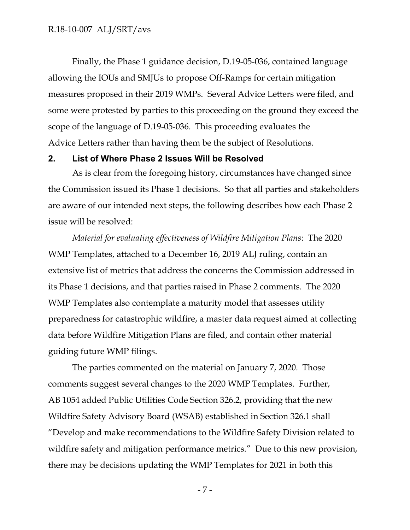Finally, the Phase 1 guidance decision, D.19-05-036, contained language allowing the IOUs and SMJUs to propose Off-Ramps for certain mitigation measures proposed in their 2019 WMPs. Several Advice Letters were filed, and some were protested by parties to this proceeding on the ground they exceed the scope of the language of D.19-05-036. This proceeding evaluates the Advice Letters rather than having them be the subject of Resolutions.

#### <span id="page-7-0"></span>**2. List of Where Phase 2 Issues Will be Resolved**

As is clear from the foregoing history, circumstances have changed since the Commission issued its Phase 1 decisions. So that all parties and stakeholders are aware of our intended next steps, the following describes how each Phase 2 issue will be resolved:

*Material for evaluating effectiveness of Wildfire Mitigation Plans*: The 2020 WMP Templates, attached to a December 16, 2019 ALJ ruling, contain an extensive list of metrics that address the concerns the Commission addressed in its Phase 1 decisions, and that parties raised in Phase 2 comments. The 2020 WMP Templates also contemplate a maturity model that assesses utility preparedness for catastrophic wildfire, a master data request aimed at collecting data before Wildfire Mitigation Plans are filed, and contain other material guiding future WMP filings.

The parties commented on the material on January 7, 2020. Those comments suggest several changes to the 2020 WMP Templates. Further, AB 1054 added Public Utilities Code Section 326.2, providing that the new Wildfire Safety Advisory Board (WSAB) established in Section 326.1 shall "Develop and make recommendations to the Wildfire Safety Division related to wildfire safety and mitigation performance metrics." Due to this new provision, there may be decisions updating the WMP Templates for 2021 in both this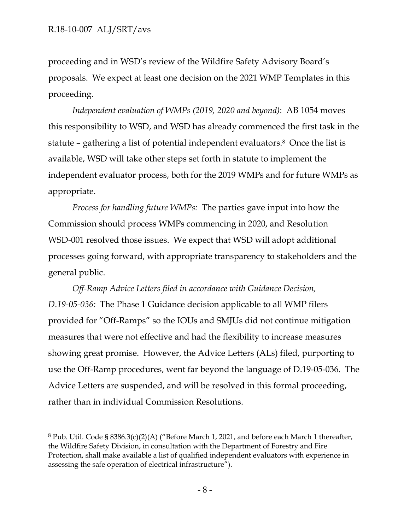$\overline{a}$ 

proceeding and in WSD's review of the Wildfire Safety Advisory Board's proposals. We expect at least one decision on the 2021 WMP Templates in this proceeding.

*Independent evaluation of WMPs (2019, 2020 and beyond)*: AB 1054 moves this responsibility to WSD, and WSD has already commenced the first task in the statute – gathering a list of potential independent evaluators.8 Once the list is available, WSD will take other steps set forth in statute to implement the independent evaluator process, both for the 2019 WMPs and for future WMPs as appropriate.

*Process for handling future WMPs:* The parties gave input into how the Commission should process WMPs commencing in 2020, and Resolution WSD-001 resolved those issues. We expect that WSD will adopt additional processes going forward, with appropriate transparency to stakeholders and the general public.

*Off-Ramp Advice Letters filed in accordance with Guidance Decision, D.19-05-036:* The Phase 1 Guidance decision applicable to all WMP filers provided for "Off-Ramps" so the IOUs and SMJUs did not continue mitigation measures that were not effective and had the flexibility to increase measures showing great promise. However, the Advice Letters (ALs) filed, purporting to use the Off-Ramp procedures, went far beyond the language of D.19-05-036. The Advice Letters are suspended, and will be resolved in this formal proceeding, rather than in individual Commission Resolutions.

 $8$  Pub. Util. Code § 8386.3(c)(2)(A) ("Before March 1, 2021, and before each March 1 thereafter, the Wildfire Safety Division, in consultation with the Department of Forestry and Fire Protection, shall make available a list of qualified independent evaluators with experience in assessing the safe operation of electrical infrastructure").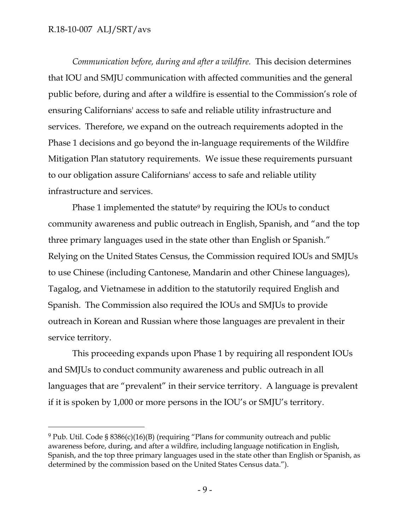### R.18-10-007 ALJ/SRT/avs

 $\overline{a}$ 

*Communication before, during and after a wildfire.* This decision determines that IOU and SMJU communication with affected communities and the general public before, during and after a wildfire is essential to the Commission's role of ensuring Californians' access to safe and reliable utility infrastructure and services. Therefore, we expand on the outreach requirements adopted in the Phase 1 decisions and go beyond the in-language requirements of the Wildfire Mitigation Plan statutory requirements. We issue these requirements pursuant to our obligation assure Californians' access to safe and reliable utility infrastructure and services.

Phase 1 implemented the statute<sup>9</sup> by requiring the IOUs to conduct community awareness and public outreach in English, Spanish, and "and the top three primary languages used in the state other than English or Spanish." Relying on the United States Census, the Commission required IOUs and SMJUs to use Chinese (including Cantonese, Mandarin and other Chinese languages), Tagalog, and Vietnamese in addition to the statutorily required English and Spanish. The Commission also required the IOUs and SMJUs to provide outreach in Korean and Russian where those languages are prevalent in their service territory.

This proceeding expands upon Phase 1 by requiring all respondent IOUs and SMJUs to conduct community awareness and public outreach in all languages that are "prevalent" in their service territory. A language is prevalent if it is spoken by 1,000 or more persons in the IOU's or SMJU's territory.

<sup>9</sup> Pub. Util. Code § 8386(c)(16)(B) (requiring "Plans for community outreach and public awareness before, during, and after a wildfire, including language notification in English, Spanish, and the top three primary languages used in the state other than English or Spanish, as determined by the commission based on the United States Census data.").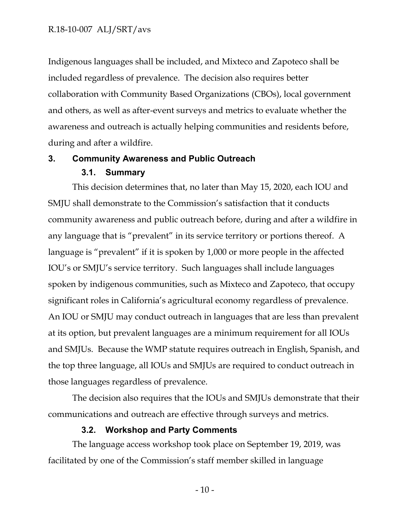Indigenous languages shall be included, and Mixteco and Zapoteco shall be included regardless of prevalence. The decision also requires better collaboration with Community Based Organizations (CBOs), local government and others, as well as after-event surveys and metrics to evaluate whether the awareness and outreach is actually helping communities and residents before, during and after a wildfire.

# <span id="page-10-1"></span><span id="page-10-0"></span>**3. Community Awareness and Public Outreach**

### **3.1. Summary**

This decision determines that, no later than May 15, 2020, each IOU and SMJU shall demonstrate to the Commission's satisfaction that it conducts community awareness and public outreach before, during and after a wildfire in any language that is "prevalent" in its service territory or portions thereof. A language is "prevalent" if it is spoken by 1,000 or more people in the affected IOU's or SMJU's service territory. Such languages shall include languages spoken by indigenous communities, such as Mixteco and Zapoteco, that occupy significant roles in California's agricultural economy regardless of prevalence. An IOU or SMJU may conduct outreach in languages that are less than prevalent at its option, but prevalent languages are a minimum requirement for all IOUs and SMJUs. Because the WMP statute requires outreach in English, Spanish, and the top three language, all IOUs and SMJUs are required to conduct outreach in those languages regardless of prevalence.

The decision also requires that the IOUs and SMJUs demonstrate that their communications and outreach are effective through surveys and metrics.

#### **3.2. Workshop and Party Comments**

<span id="page-10-2"></span>The language access workshop took place on September 19, 2019, was facilitated by one of the Commission's staff member skilled in language

- 10 -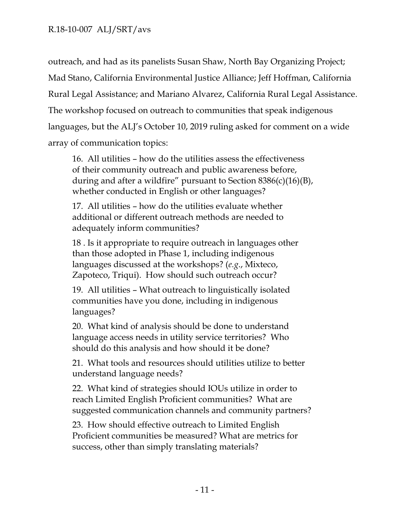outreach, and had as its panelists Susan Shaw, North Bay Organizing Project; Mad Stano, California Environmental Justice Alliance; Jeff Hoffman, California Rural Legal Assistance; and Mariano Alvarez, California Rural Legal Assistance. The workshop focused on outreach to communities that speak indigenous languages, but the ALJ's October 10, 2019 ruling asked for comment on a wide array of communication topics:

16. All utilities – how do the utilities assess the effectiveness of their community outreach and public awareness before, during and after a wildfire" pursuant to Section 8386(c)(16)(B), whether conducted in English or other languages?

17. All utilities – how do the utilities evaluate whether additional or different outreach methods are needed to adequately inform communities?

18 . Is it appropriate to require outreach in languages other than those adopted in Phase 1, including indigenous languages discussed at the workshops? (*e.g*., Mixteco, Zapoteco, Triqui). How should such outreach occur?

19. All utilities – What outreach to linguistically isolated communities have you done, including in indigenous languages?

20. What kind of analysis should be done to understand language access needs in utility service territories? Who should do this analysis and how should it be done?

21. What tools and resources should utilities utilize to better understand language needs?

22. What kind of strategies should IOUs utilize in order to reach Limited English Proficient communities? What are suggested communication channels and community partners?

23. How should effective outreach to Limited English Proficient communities be measured? What are metrics for success, other than simply translating materials?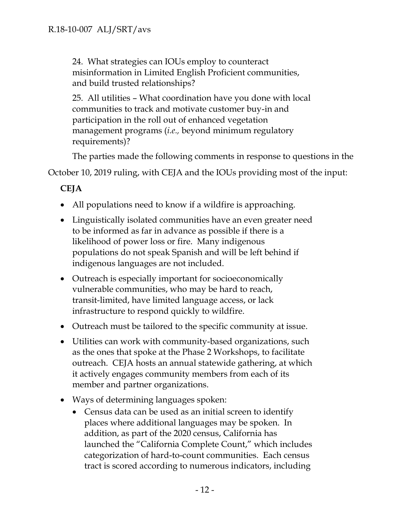24. What strategies can IOUs employ to counteract misinformation in Limited English Proficient communities, and build trusted relationships?

25. All utilities – What coordination have you done with local communities to track and motivate customer buy-in and participation in the roll out of enhanced vegetation management programs (*i.e.,* beyond minimum regulatory requirements)?

The parties made the following comments in response to questions in the

October 10, 2019 ruling, with CEJA and the IOUs providing most of the input:

**CEJA**

- All populations need to know if a wildfire is approaching.
- Linguistically isolated communities have an even greater need to be informed as far in advance as possible if there is a likelihood of power loss or fire. Many indigenous populations do not speak Spanish and will be left behind if indigenous languages are not included.
- Outreach is especially important for socioeconomically vulnerable communities, who may be hard to reach, transit-limited, have limited language access, or lack infrastructure to respond quickly to wildfire.
- Outreach must be tailored to the specific community at issue.
- Utilities can work with community-based organizations, such as the ones that spoke at the Phase 2 Workshops, to facilitate outreach. CEJA hosts an annual statewide gathering, at which it actively engages community members from each of its member and partner organizations.
- Ways of determining languages spoken:
	- Census data can be used as an initial screen to identify places where additional languages may be spoken. In addition, as part of the 2020 census, California has launched the "California Complete Count," which includes categorization of hard-to-count communities. Each census tract is scored according to numerous indicators, including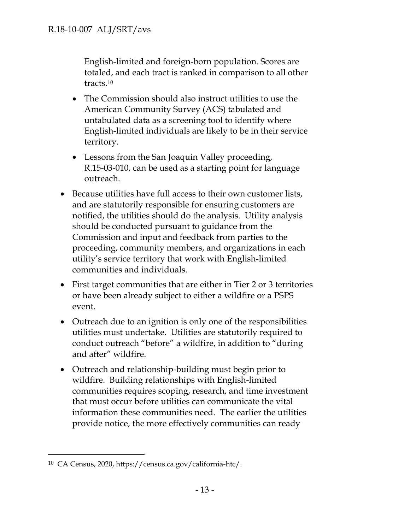English-limited and foreign-born population. Scores are totaled, and each tract is ranked in comparison to all other tracts.<sup>10</sup>

- The Commission should also instruct utilities to use the American Community Survey (ACS) tabulated and untabulated data as a screening tool to identify where English-limited individuals are likely to be in their service territory.
- Lessons from the San Joaquin Valley proceeding, R.15-03-010, can be used as a starting point for language outreach.
- Because utilities have full access to their own customer lists, and are statutorily responsible for ensuring customers are notified, the utilities should do the analysis. Utility analysis should be conducted pursuant to guidance from the Commission and input and feedback from parties to the proceeding, community members, and organizations in each utility's service territory that work with English-limited communities and individuals.
- First target communities that are either in Tier 2 or 3 territories or have been already subject to either a wildfire or a PSPS event.
- Outreach due to an ignition is only one of the responsibilities utilities must undertake. Utilities are statutorily required to conduct outreach "before" a wildfire, in addition to "during and after" wildfire.
- Outreach and relationship-building must begin prior to wildfire. Building relationships with English-limited communities requires scoping, research, and time investment that must occur before utilities can communicate the vital information these communities need. The earlier the utilities provide notice, the more effectively communities can ready

 $\overline{a}$ 

<sup>10</sup> CA Census, 2020, https://census.ca.gov/california-htc/.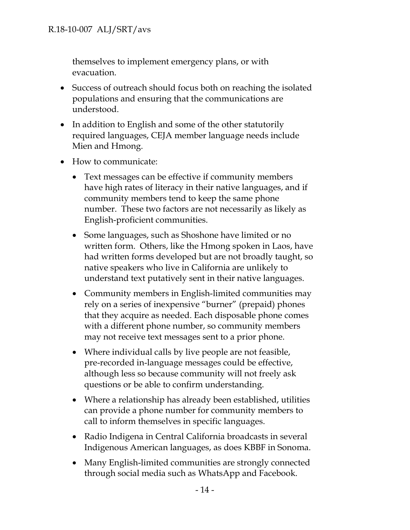themselves to implement emergency plans, or with evacuation.

- Success of outreach should focus both on reaching the isolated populations and ensuring that the communications are understood.
- In addition to English and some of the other statutorily required languages, CEJA member language needs include Mien and Hmong.
- How to communicate:
	- Text messages can be effective if community members have high rates of literacy in their native languages, and if community members tend to keep the same phone number. These two factors are not necessarily as likely as English-proficient communities.
	- Some languages, such as Shoshone have limited or no written form. Others, like the Hmong spoken in Laos, have had written forms developed but are not broadly taught, so native speakers who live in California are unlikely to understand text putatively sent in their native languages.
	- Community members in English-limited communities may rely on a series of inexpensive "burner" (prepaid) phones that they acquire as needed. Each disposable phone comes with a different phone number, so community members may not receive text messages sent to a prior phone.
	- Where individual calls by live people are not feasible, pre-recorded in-language messages could be effective, although less so because community will not freely ask questions or be able to confirm understanding.
	- Where a relationship has already been established, utilities can provide a phone number for community members to call to inform themselves in specific languages.
	- Radio Indigena in Central California broadcasts in several Indigenous American languages, as does KBBF in Sonoma.
	- Many English-limited communities are strongly connected through social media such as WhatsApp and Facebook.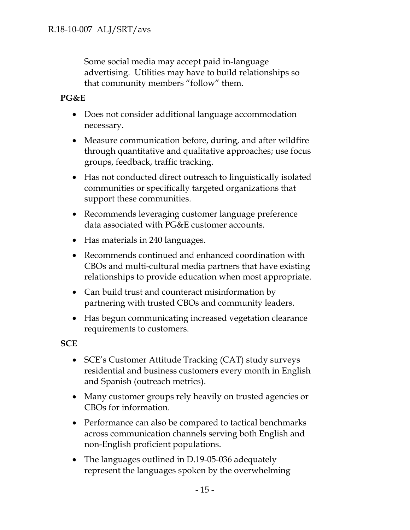Some social media may accept paid in-language advertising. Utilities may have to build relationships so that community members "follow" them.

### **PG&E**

- Does not consider additional language accommodation necessary.
- Measure communication before, during, and after wildfire through quantitative and qualitative approaches; use focus groups, feedback, traffic tracking.
- Has not conducted direct outreach to linguistically isolated communities or specifically targeted organizations that support these communities.
- Recommends leveraging customer language preference data associated with PG&E customer accounts.
- Has materials in 240 languages.
- Recommends continued and enhanced coordination with CBOs and multi-cultural media partners that have existing relationships to provide education when most appropriate.
- Can build trust and counteract misinformation by partnering with trusted CBOs and community leaders.
- Has begun communicating increased vegetation clearance requirements to customers.

**SCE**

- SCE's Customer Attitude Tracking (CAT) study surveys residential and business customers every month in English and Spanish (outreach metrics).
- Many customer groups rely heavily on trusted agencies or CBOs for information.
- Performance can also be compared to tactical benchmarks across communication channels serving both English and non-English proficient populations.
- The languages outlined in D.19-05-036 adequately represent the languages spoken by the overwhelming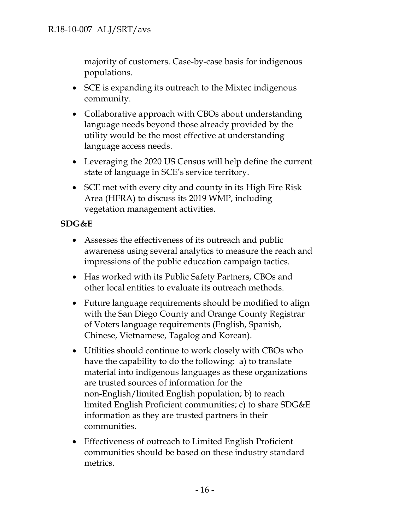majority of customers. Case-by-case basis for indigenous populations.

- SCE is expanding its outreach to the Mixtec indigenous community.
- Collaborative approach with CBOs about understanding language needs beyond those already provided by the utility would be the most effective at understanding language access needs.
- Leveraging the 2020 US Census will help define the current state of language in SCE's service territory.
- SCE met with every city and county in its High Fire Risk Area (HFRA) to discuss its 2019 WMP, including vegetation management activities.

# **SDG&E**

- Assesses the effectiveness of its outreach and public awareness using several analytics to measure the reach and impressions of the public education campaign tactics.
- Has worked with its Public Safety Partners, CBOs and other local entities to evaluate its outreach methods.
- Future language requirements should be modified to align with the San Diego County and Orange County Registrar of Voters language requirements (English, Spanish, Chinese, Vietnamese, Tagalog and Korean).
- Utilities should continue to work closely with CBOs who have the capability to do the following: a) to translate material into indigenous languages as these organizations are trusted sources of information for the non-English/limited English population; b) to reach limited English Proficient communities; c) to share SDG&E information as they are trusted partners in their communities.
- Effectiveness of outreach to Limited English Proficient communities should be based on these industry standard metrics.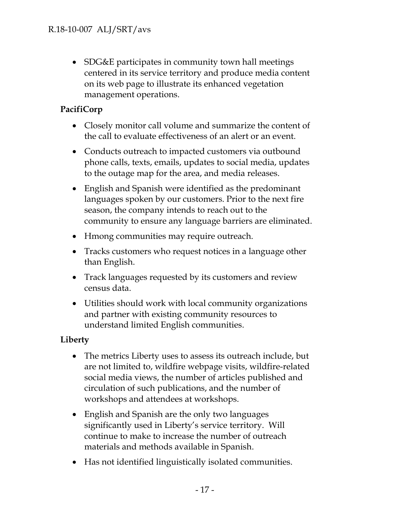• SDG&E participates in community town hall meetings centered in its service territory and produce media content on its web page to illustrate its enhanced vegetation management operations.

# **PacifiCorp**

- Closely monitor call volume and summarize the content of the call to evaluate effectiveness of an alert or an event.
- Conducts outreach to impacted customers via outbound phone calls, texts, emails, updates to social media, updates to the outage map for the area, and media releases.
- English and Spanish were identified as the predominant languages spoken by our customers. Prior to the next fire season, the company intends to reach out to the community to ensure any language barriers are eliminated.
- Hmong communities may require outreach.
- Tracks customers who request notices in a language other than English.
- Track languages requested by its customers and review census data.
- Utilities should work with local community organizations and partner with existing community resources to understand limited English communities.

# **Liberty**

- The metrics Liberty uses to assess its outreach include, but are not limited to, wildfire webpage visits, wildfire-related social media views, the number of articles published and circulation of such publications, and the number of workshops and attendees at workshops.
- English and Spanish are the only two languages significantly used in Liberty's service territory. Will continue to make to increase the number of outreach materials and methods available in Spanish.
- Has not identified linguistically isolated communities.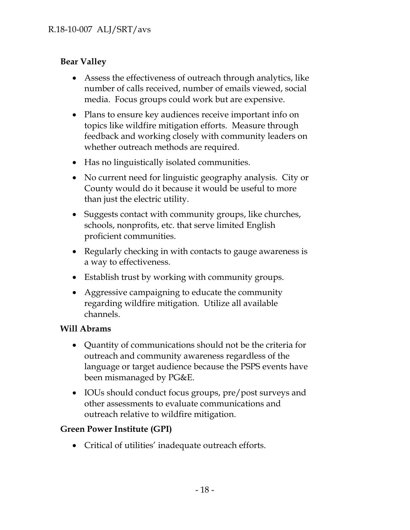# **Bear Valley**

- Assess the effectiveness of outreach through analytics, like number of calls received, number of emails viewed, social media. Focus groups could work but are expensive.
- Plans to ensure key audiences receive important info on topics like wildfire mitigation efforts. Measure through feedback and working closely with community leaders on whether outreach methods are required.
- Has no linguistically isolated communities.
- No current need for linguistic geography analysis. City or County would do it because it would be useful to more than just the electric utility.
- Suggests contact with community groups, like churches, schools, nonprofits, etc. that serve limited English proficient communities.
- Regularly checking in with contacts to gauge awareness is a way to effectiveness.
- Establish trust by working with community groups.
- Aggressive campaigning to educate the community regarding wildfire mitigation. Utilize all available channels.

# **Will Abrams**

- Quantity of communications should not be the criteria for outreach and community awareness regardless of the language or target audience because the PSPS events have been mismanaged by PG&E.
- IOUs should conduct focus groups, pre/post surveys and other assessments to evaluate communications and outreach relative to wildfire mitigation.

# **Green Power Institute (GPI)**

Critical of utilities' inadequate outreach efforts.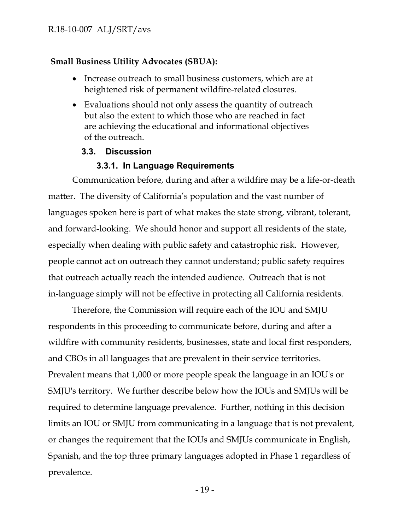### **Small Business Utility Advocates (SBUA):**

- Increase outreach to small business customers, which are at heightened risk of permanent wildfire-related closures.
- Evaluations should not only assess the quantity of outreach but also the extent to which those who are reached in fact are achieving the educational and informational objectives of the outreach.

#### **3.3. Discussion**

### <span id="page-19-1"></span>**3.3.1. In Language Requirements**

<span id="page-19-0"></span>Communication before, during and after a wildfire may be a life-or-death matter. The diversity of California's population and the vast number of languages spoken here is part of what makes the state strong, vibrant, tolerant, and forward-looking. We should honor and support all residents of the state, especially when dealing with public safety and catastrophic risk. However, people cannot act on outreach they cannot understand; public safety requires that outreach actually reach the intended audience. Outreach that is not in-language simply will not be effective in protecting all California residents.

Therefore, the Commission will require each of the IOU and SMJU respondents in this proceeding to communicate before, during and after a wildfire with community residents, businesses, state and local first responders, and CBOs in all languages that are prevalent in their service territories. Prevalent means that 1,000 or more people speak the language in an IOU's or SMJU's territory. We further describe below how the IOUs and SMJUs will be required to determine language prevalence. Further, nothing in this decision limits an IOU or SMJU from communicating in a language that is not prevalent, or changes the requirement that the IOUs and SMJUs communicate in English, Spanish, and the top three primary languages adopted in Phase 1 regardless of prevalence.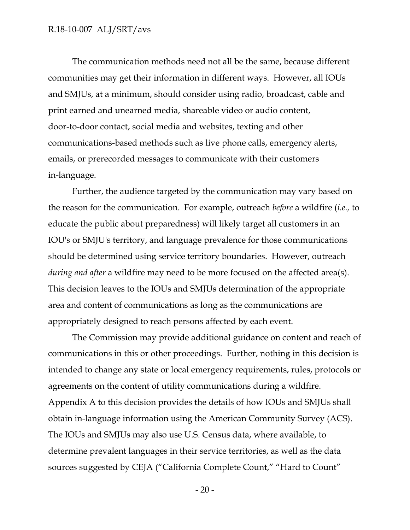#### R.18-10-007 ALJ/SRT/avs

The communication methods need not all be the same, because different communities may get their information in different ways. However, all IOUs and SMJUs, at a minimum, should consider using radio, broadcast, cable and print earned and unearned media, shareable video or audio content, door-to-door contact, social media and websites, texting and other communications-based methods such as live phone calls, emergency alerts, emails, or prerecorded messages to communicate with their customers in-language.

Further, the audience targeted by the communication may vary based on the reason for the communication. For example, outreach *before* a wildfire (*i.e.,* to educate the public about preparedness) will likely target all customers in an IOU's or SMJU's territory, and language prevalence for those communications should be determined using service territory boundaries. However, outreach *during and after* a wildfire may need to be more focused on the affected area(s). This decision leaves to the IOUs and SMJUs determination of the appropriate area and content of communications as long as the communications are appropriately designed to reach persons affected by each event.

The Commission may provide additional guidance on content and reach of communications in this or other proceedings. Further, nothing in this decision is intended to change any state or local emergency requirements, rules, protocols or agreements on the content of utility communications during a wildfire. Appendix A to this decision provides the details of how IOUs and SMJUs shall obtain in-language information using the American Community Survey (ACS). The IOUs and SMJUs may also use U.S. Census data, where available, to determine prevalent languages in their service territories, as well as the data sources suggested by CEJA ("California Complete Count," "Hard to Count"

- 20 -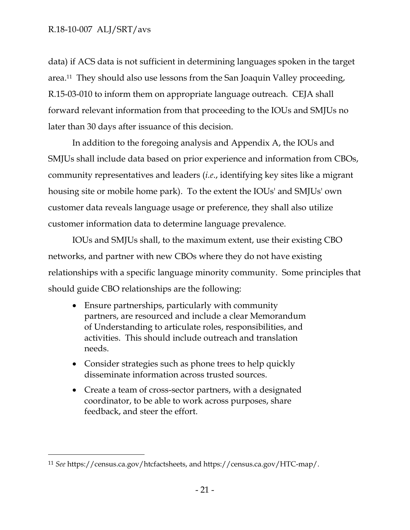$\overline{a}$ 

data) if ACS data is not sufficient in determining languages spoken in the target area. <sup>11</sup> They should also use lessons from the San Joaquin Valley proceeding, R.15-03-010 to inform them on appropriate language outreach. CEJA shall forward relevant information from that proceeding to the IOUs and SMJUs no later than 30 days after issuance of this decision.

In addition to the foregoing analysis and Appendix A, the IOUs and SMJUs shall include data based on prior experience and information from CBOs, community representatives and leaders (*i.e*., identifying key sites like a migrant housing site or mobile home park). To the extent the IOUs' and SMJUs' own customer data reveals language usage or preference, they shall also utilize customer information data to determine language prevalence.

IOUs and SMJUs shall, to the maximum extent, use their existing CBO networks, and partner with new CBOs where they do not have existing relationships with a specific language minority community. Some principles that should guide CBO relationships are the following:

- Ensure partnerships, particularly with community partners, are resourced and include a clear Memorandum of Understanding to articulate roles, responsibilities, and activities. This should include outreach and translation needs.
- Consider strategies such as phone trees to help quickly disseminate information across trusted sources.
- Create a team of cross-sector partners, with a designated coordinator, to be able to work across purposes, share feedback, and steer the effort.

<sup>11</sup> *See* https://census.ca.gov/htcfactsheets, and https://census.ca.gov/HTC-map/.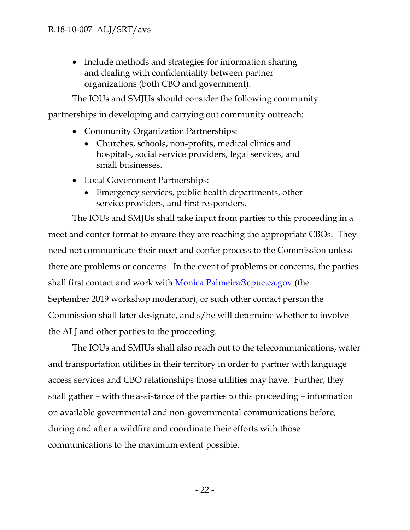• Include methods and strategies for information sharing and dealing with confidentiality between partner organizations (both CBO and government).

The IOUs and SMJUs should consider the following community

partnerships in developing and carrying out community outreach:

- Community Organization Partnerships:
	- Churches, schools, non-profits, medical clinics and hospitals, social service providers, legal services, and small businesses.
- Local Government Partnerships:
	- Emergency services, public health departments, other service providers, and first responders.

The IOUs and SMJUs shall take input from parties to this proceeding in a meet and confer format to ensure they are reaching the appropriate CBOs. They need not communicate their meet and confer process to the Commission unless there are problems or concerns. In the event of problems or concerns, the parties shall first contact and work with [Monica.Palmeira@cpuc.ca.gov](mailto:Monica.Palmeira@cpuc.ca.gov) (the September 2019 workshop moderator), or such other contact person the Commission shall later designate, and s/he will determine whether to involve the ALJ and other parties to the proceeding.

The IOUs and SMJUs shall also reach out to the telecommunications, water and transportation utilities in their territory in order to partner with language access services and CBO relationships those utilities may have. Further, they shall gather – with the assistance of the parties to this proceeding – information on available governmental and non-governmental communications before, during and after a wildfire and coordinate their efforts with those communications to the maximum extent possible.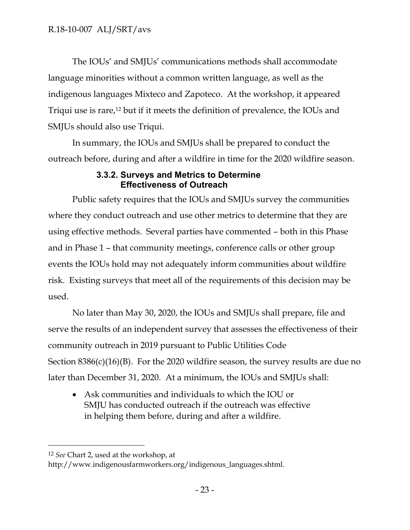The IOUs' and SMJUs' communications methods shall accommodate language minorities without a common written language, as well as the indigenous languages Mixteco and Zapoteco. At the workshop, it appeared Triqui use is rare, <sup>12</sup> but if it meets the definition of prevalence, the IOUs and SMJUs should also use Triqui.

In summary, the IOUs and SMJUs shall be prepared to conduct the outreach before, during and after a wildfire in time for the 2020 wildfire season.

### **3.3.2. Surveys and Metrics to Determine Effectiveness of Outreach**

<span id="page-23-0"></span>Public safety requires that the IOUs and SMJUs survey the communities where they conduct outreach and use other metrics to determine that they are using effective methods. Several parties have commented – both in this Phase and in Phase 1 – that community meetings, conference calls or other group events the IOUs hold may not adequately inform communities about wildfire risk. Existing surveys that meet all of the requirements of this decision may be used.

No later than May 30, 2020, the IOUs and SMJUs shall prepare, file and serve the results of an independent survey that assesses the effectiveness of their community outreach in 2019 pursuant to Public Utilities Code Section  $8386(c)(16)(B)$ . For the 2020 wildfire season, the survey results are due no later than December 31, 2020. At a minimum, the IOUs and SMJUs shall:

 Ask communities and individuals to which the IOU or SMJU has conducted outreach if the outreach was effective in helping them before, during and after a wildfire.

 $\overline{a}$ 

<sup>12</sup> *See* Chart 2, used at the workshop, at

http://www.indigenousfarmworkers.org/indigenous\_languages.shtml.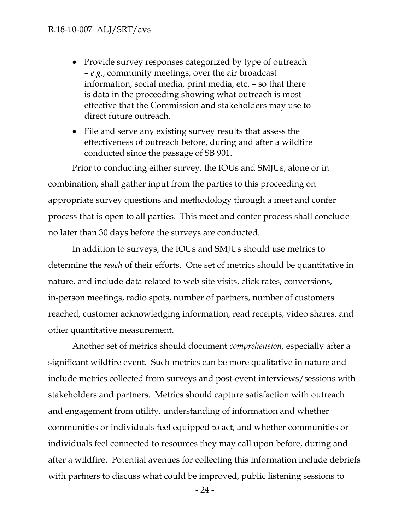#### R.18-10-007 ALJ/SRT/avs

- Provide survey responses categorized by type of outreach – *e.g*., community meetings, over the air broadcast information, social media, print media, etc. – so that there is data in the proceeding showing what outreach is most effective that the Commission and stakeholders may use to direct future outreach.
- File and serve any existing survey results that assess the effectiveness of outreach before, during and after a wildfire conducted since the passage of SB 901.

Prior to conducting either survey, the IOUs and SMJUs, alone or in combination, shall gather input from the parties to this proceeding on appropriate survey questions and methodology through a meet and confer process that is open to all parties. This meet and confer process shall conclude no later than 30 days before the surveys are conducted.

In addition to surveys, the IOUs and SMJUs should use metrics to determine the *reach* of their efforts. One set of metrics should be quantitative in nature, and include data related to web site visits, click rates, conversions, in-person meetings, radio spots, number of partners, number of customers reached, customer acknowledging information, read receipts, video shares, and other quantitative measurement.

Another set of metrics should document *comprehension*, especially after a significant wildfire event. Such metrics can be more qualitative in nature and include metrics collected from surveys and post-event interviews/sessions with stakeholders and partners. Metrics should capture satisfaction with outreach and engagement from utility, understanding of information and whether communities or individuals feel equipped to act, and whether communities or individuals feel connected to resources they may call upon before, during and after a wildfire. Potential avenues for collecting this information include debriefs with partners to discuss what could be improved, public listening sessions to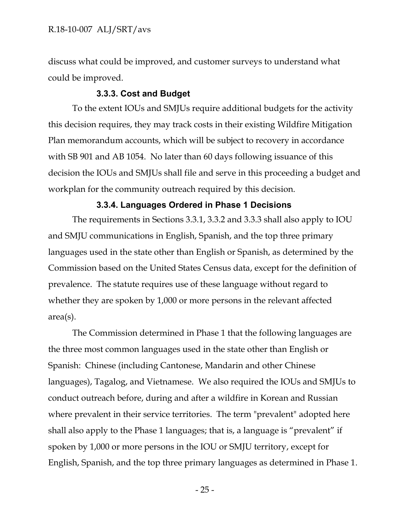discuss what could be improved, and customer surveys to understand what could be improved.

#### **3.3.3. Cost and Budget**

<span id="page-25-0"></span>To the extent IOUs and SMJUs require additional budgets for the activity this decision requires, they may track costs in their existing Wildfire Mitigation Plan memorandum accounts, which will be subject to recovery in accordance with SB 901 and AB 1054. No later than 60 days following issuance of this decision the IOUs and SMJUs shall file and serve in this proceeding a budget and workplan for the community outreach required by this decision.

#### **3.3.4. Languages Ordered in Phase 1 Decisions**

<span id="page-25-1"></span>The requirements in Sections 3.3.1, 3.3.2 and 3.3.3 shall also apply to IOU and SMJU communications in English, Spanish, and the top three primary languages used in the state other than English or Spanish, as determined by the Commission based on the United States Census data, except for the definition of prevalence. The statute requires use of these language without regard to whether they are spoken by 1,000 or more persons in the relevant affected area(s).

The Commission determined in Phase 1 that the following languages are the three most common languages used in the state other than English or Spanish: Chinese (including Cantonese, Mandarin and other Chinese languages), Tagalog, and Vietnamese. We also required the IOUs and SMJUs to conduct outreach before, during and after a wildfire in Korean and Russian where prevalent in their service territories. The term "prevalent" adopted here shall also apply to the Phase 1 languages; that is, a language is "prevalent" if spoken by 1,000 or more persons in the IOU or SMJU territory, except for English, Spanish, and the top three primary languages as determined in Phase 1.

- 25 -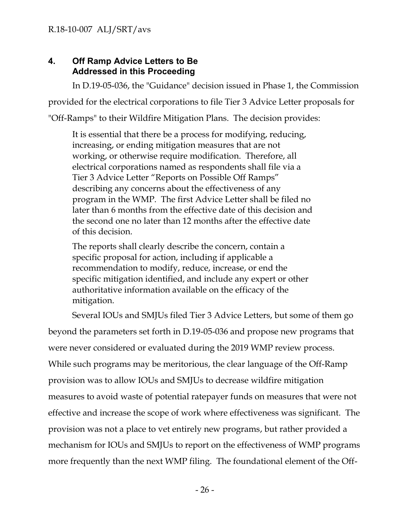# <span id="page-26-0"></span>**4. Off Ramp Advice Letters to Be Addressed in this Proceeding**

In D.19-05-036, the "Guidance" decision issued in Phase 1, the Commission provided for the electrical corporations to file Tier 3 Advice Letter proposals for "Off-Ramps" to their Wildfire Mitigation Plans. The decision provides:

It is essential that there be a process for modifying, reducing, increasing, or ending mitigation measures that are not working, or otherwise require modification. Therefore, all electrical corporations named as respondents shall file via a Tier 3 Advice Letter "Reports on Possible Off Ramps" describing any concerns about the effectiveness of any program in the WMP. The first Advice Letter shall be filed no later than 6 months from the effective date of this decision and the second one no later than 12 months after the effective date of this decision.

The reports shall clearly describe the concern, contain a specific proposal for action, including if applicable a recommendation to modify, reduce, increase, or end the specific mitigation identified, and include any expert or other authoritative information available on the efficacy of the mitigation.

Several IOUs and SMJUs filed Tier 3 Advice Letters, but some of them go beyond the parameters set forth in D.19-05-036 and propose new programs that were never considered or evaluated during the 2019 WMP review process. While such programs may be meritorious, the clear language of the Off-Ramp provision was to allow IOUs and SMJUs to decrease wildfire mitigation measures to avoid waste of potential ratepayer funds on measures that were not effective and increase the scope of work where effectiveness was significant. The provision was not a place to vet entirely new programs, but rather provided a mechanism for IOUs and SMJUs to report on the effectiveness of WMP programs more frequently than the next WMP filing. The foundational element of the Off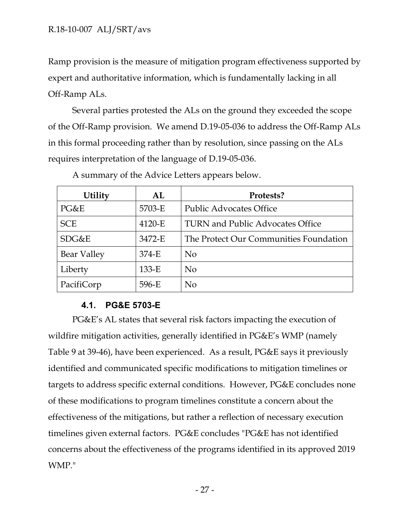Ramp provision is the measure of mitigation program effectiveness supported by expert and authoritative information, which is fundamentally lacking in all Off-Ramp ALs.

Several parties protested the ALs on the ground they exceeded the scope of the Off-Ramp provision. We amend D.19-05-036 to address the Off-Ramp ALs in this formal proceeding rather than by resolution, since passing on the ALs requires interpretation of the language of D.19-05-036.

| <b>Utility</b>     | ${\bf AL}$ | Protests?                               |
|--------------------|------------|-----------------------------------------|
| PG&E               | 5703-E     | <b>Public Advocates Office</b>          |
| <b>SCE</b>         | 4120-E     | <b>TURN and Public Advocates Office</b> |
| SDG&E              | 3472-E     | The Protect Our Communities Foundation  |
| <b>Bear Valley</b> | 374-E      | N <sub>0</sub>                          |
| Liberty            | $133-E$    | N <sub>0</sub>                          |
| PacifiCorp         | 596-E      | N <sub>0</sub>                          |

A summary of the Advice Letters appears below.

# **4.1. PG&E 5703-E**

<span id="page-27-0"></span>PG&E's AL states that several risk factors impacting the execution of wildfire mitigation activities, generally identified in PG&E's WMP (namely Table 9 at 39-46), have been experienced. As a result, PG&E says it previously identified and communicated specific modifications to mitigation timelines or targets to address specific external conditions. However, PG&E concludes none of these modifications to program timelines constitute a concern about the effectiveness of the mitigations, but rather a reflection of necessary execution timelines given external factors. PG&E concludes "PG&E has not identified concerns about the effectiveness of the programs identified in its approved 2019 WMP."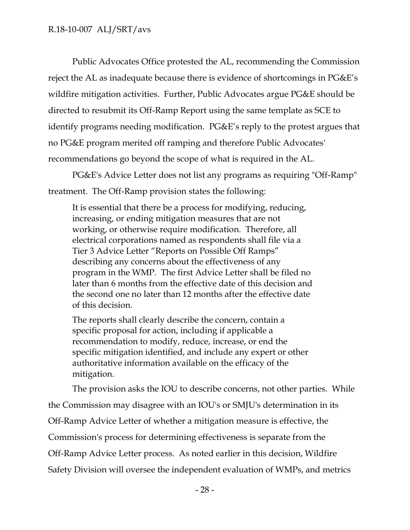Public Advocates Office protested the AL, recommending the Commission reject the AL as inadequate because there is evidence of shortcomings in PG&E's wildfire mitigation activities. Further, Public Advocates argue PG&E should be directed to resubmit its Off-Ramp Report using the same template as SCE to identify programs needing modification. PG&E's reply to the protest argues that no PG&E program merited off ramping and therefore Public Advocates' recommendations go beyond the scope of what is required in the AL.

PG&E's Advice Letter does not list any programs as requiring "Off-Ramp" treatment. The Off-Ramp provision states the following:

It is essential that there be a process for modifying, reducing, increasing, or ending mitigation measures that are not working, or otherwise require modification. Therefore, all electrical corporations named as respondents shall file via a Tier 3 Advice Letter "Reports on Possible Off Ramps" describing any concerns about the effectiveness of any program in the WMP. The first Advice Letter shall be filed no later than 6 months from the effective date of this decision and the second one no later than 12 months after the effective date of this decision.

The reports shall clearly describe the concern, contain a specific proposal for action, including if applicable a recommendation to modify, reduce, increase, or end the specific mitigation identified, and include any expert or other authoritative information available on the efficacy of the mitigation.

The provision asks the IOU to describe concerns, not other parties. While the Commission may disagree with an IOU's or SMJU's determination in its Off-Ramp Advice Letter of whether a mitigation measure is effective, the Commission's process for determining effectiveness is separate from the Off-Ramp Advice Letter process. As noted earlier in this decision, Wildfire Safety Division will oversee the independent evaluation of WMPs, and metrics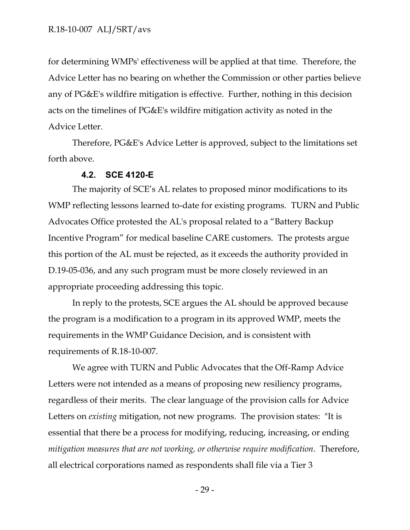for determining WMPs' effectiveness will be applied at that time. Therefore, the Advice Letter has no bearing on whether the Commission or other parties believe any of PG&E's wildfire mitigation is effective. Further, nothing in this decision acts on the timelines of PG&E's wildfire mitigation activity as noted in the Advice Letter.

Therefore, PG&E's Advice Letter is approved, subject to the limitations set forth above.

### **4.2. SCE 4120-E**

<span id="page-29-0"></span>The majority of SCE's AL relates to proposed minor modifications to its WMP reflecting lessons learned to-date for existing programs. TURN and Public Advocates Office protested the AL's proposal related to a "Battery Backup Incentive Program" for medical baseline CARE customers. The protests argue this portion of the AL must be rejected, as it exceeds the authority provided in D.19-05-036, and any such program must be more closely reviewed in an appropriate proceeding addressing this topic.

In reply to the protests, SCE argues the AL should be approved because the program is a modification to a program in its approved WMP, meets the requirements in the WMP Guidance Decision, and is consistent with requirements of R.18-10-007.

We agree with TURN and Public Advocates that the Off-Ramp Advice Letters were not intended as a means of proposing new resiliency programs, regardless of their merits. The clear language of the provision calls for Advice Letters on *existing* mitigation, not new programs. The provision states: "It is essential that there be a process for modifying, reducing, increasing, or ending *mitigation measures that are not working, or otherwise require modification*. Therefore, all electrical corporations named as respondents shall file via a Tier 3

- 29 -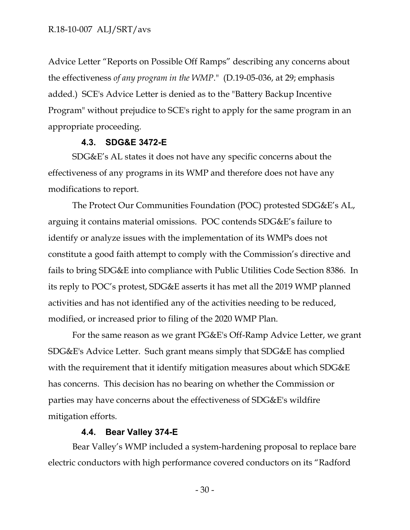Advice Letter "Reports on Possible Off Ramps" describing any concerns about the effectiveness *of any program in the WMP*." (D.19-05-036, at 29; emphasis added.) SCE's Advice Letter is denied as to the "Battery Backup Incentive Program" without prejudice to SCE's right to apply for the same program in an appropriate proceeding.

#### **4.3. SDG&E 3472-E**

<span id="page-30-0"></span>SDG&E's AL states it does not have any specific concerns about the effectiveness of any programs in its WMP and therefore does not have any modifications to report.

The Protect Our Communities Foundation (POC) protested SDG&E's AL, arguing it contains material omissions. POC contends SDG&E's failure to identify or analyze issues with the implementation of its WMPs does not constitute a good faith attempt to comply with the Commission's directive and fails to bring SDG&E into compliance with Public Utilities Code Section 8386. In its reply to POC's protest, SDG&E asserts it has met all the 2019 WMP planned activities and has not identified any of the activities needing to be reduced, modified, or increased prior to filing of the 2020 WMP Plan.

For the same reason as we grant PG&E's Off-Ramp Advice Letter, we grant SDG&E's Advice Letter. Such grant means simply that SDG&E has complied with the requirement that it identify mitigation measures about which SDG&E has concerns. This decision has no bearing on whether the Commission or parties may have concerns about the effectiveness of SDG&E's wildfire mitigation efforts.

#### **4.4. Bear Valley 374-E**

<span id="page-30-1"></span>Bear Valley's WMP included a system-hardening proposal to replace bare electric conductors with high performance covered conductors on its "Radford

- 30 -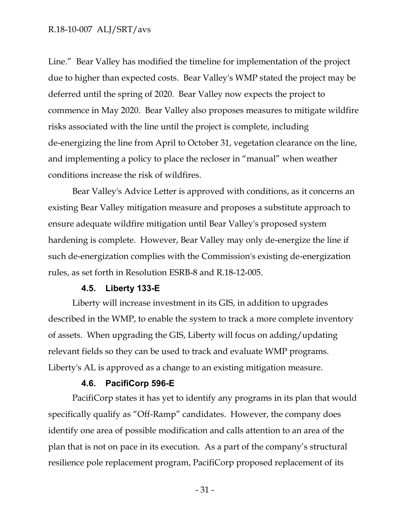#### R.18-10-007 ALJ/SRT/avs

Line." Bear Valley has modified the timeline for implementation of the project due to higher than expected costs. Bear Valley's WMP stated the project may be deferred until the spring of 2020. Bear Valley now expects the project to commence in May 2020. Bear Valley also proposes measures to mitigate wildfire risks associated with the line until the project is complete, including de-energizing the line from April to October 31, vegetation clearance on the line, and implementing a policy to place the recloser in "manual" when weather conditions increase the risk of wildfires.

Bear Valley's Advice Letter is approved with conditions, as it concerns an existing Bear Valley mitigation measure and proposes a substitute approach to ensure adequate wildfire mitigation until Bear Valley's proposed system hardening is complete. However, Bear Valley may only de-energize the line if such de-energization complies with the Commission's existing de-energization rules, as set forth in Resolution ESRB-8 and R.18-12-005.

#### **4.5. Liberty 133-E**

<span id="page-31-0"></span>Liberty will increase investment in its GIS, in addition to upgrades described in the WMP, to enable the system to track a more complete inventory of assets. When upgrading the GIS, Liberty will focus on adding/updating relevant fields so they can be used to track and evaluate WMP programs. Liberty's AL is approved as a change to an existing mitigation measure.

#### **4.6. PacifiCorp 596-E**

<span id="page-31-1"></span>PacifiCorp states it has yet to identify any programs in its plan that would specifically qualify as "Off-Ramp" candidates. However, the company does identify one area of possible modification and calls attention to an area of the plan that is not on pace in its execution. As a part of the company's structural resilience pole replacement program, PacifiCorp proposed replacement of its

- 31 -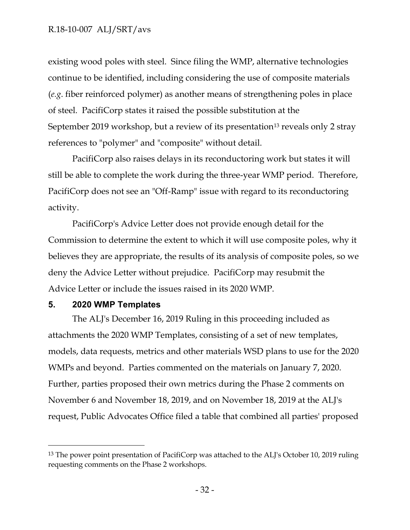### R.18-10-007 ALJ/SRT/avs

existing wood poles with steel. Since filing the WMP, alternative technologies continue to be identified, including considering the use of composite materials (*e.g*. fiber reinforced polymer) as another means of strengthening poles in place of steel. PacifiCorp states it raised the possible substitution at the September 2019 workshop, but a review of its presentation<sup>13</sup> reveals only 2 stray references to "polymer" and "composite" without detail.

PacifiCorp also raises delays in its reconductoring work but states it will still be able to complete the work during the three-year WMP period. Therefore, PacifiCorp does not see an "Off-Ramp" issue with regard to its reconductoring activity.

PacifiCorp's Advice Letter does not provide enough detail for the Commission to determine the extent to which it will use composite poles, why it believes they are appropriate, the results of its analysis of composite poles, so we deny the Advice Letter without prejudice. PacifiCorp may resubmit the Advice Letter or include the issues raised in its 2020 WMP.

#### <span id="page-32-0"></span>**5. 2020 WMP Templates**

 $\overline{a}$ 

The ALJ's December 16, 2019 Ruling in this proceeding included as attachments the 2020 WMP Templates, consisting of a set of new templates, models, data requests, metrics and other materials WSD plans to use for the 2020 WMPs and beyond. Parties commented on the materials on January 7, 2020. Further, parties proposed their own metrics during the Phase 2 comments on November 6 and November 18, 2019, and on November 18, 2019 at the ALJ's request, Public Advocates Office filed a table that combined all parties' proposed

<sup>&</sup>lt;sup>13</sup> The power point presentation of PacifiCorp was attached to the ALJ's October 10, 2019 ruling requesting comments on the Phase 2 workshops.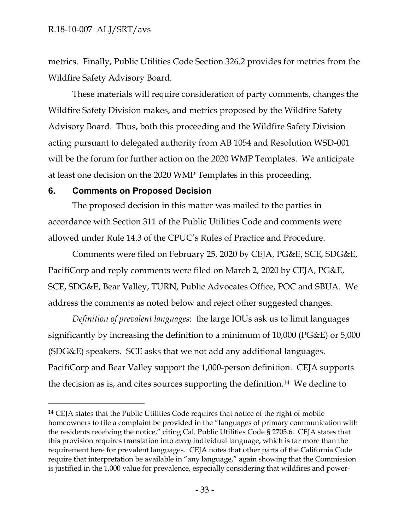metrics. Finally, Public Utilities Code Section 326.2 provides for metrics from the Wildfire Safety Advisory Board.

These materials will require consideration of party comments, changes the Wildfire Safety Division makes, and metrics proposed by the Wildfire Safety Advisory Board. Thus, both this proceeding and the Wildfire Safety Division acting pursuant to delegated authority from AB 1054 and Resolution WSD-001 will be the forum for further action on the 2020 WMP Templates. We anticipate at least one decision on the 2020 WMP Templates in this proceeding.

#### <span id="page-33-0"></span>**6. Comments on Proposed Decision**

 $\overline{a}$ 

The proposed decision in this matter was mailed to the parties in accordance with Section 311 of the Public Utilities Code and comments were allowed under Rule 14.3 of the CPUC's Rules of Practice and Procedure.

Comments were filed on February 25, 2020 by CEJA, PG&E, SCE, SDG&E, PacifiCorp and reply comments were filed on March 2, 2020 by CEJA, PG&E, SCE, SDG&E, Bear Valley, TURN, Public Advocates Office, POC and SBUA. We address the comments as noted below and reject other suggested changes.

*Definition of prevalent languages*: the large IOUs ask us to limit languages significantly by increasing the definition to a minimum of 10,000 (PG&E) or 5,000 (SDG&E) speakers. SCE asks that we not add any additional languages. PacifiCorp and Bear Valley support the 1,000-person definition. CEJA supports the decision as is, and cites sources supporting the definition.14 We decline to

<sup>&</sup>lt;sup>14</sup> CEJA states that the Public Utilities Code requires that notice of the right of mobile homeowners to file a complaint be provided in the "languages of primary communication with the residents receiving the notice," citing Cal. Public Utilities Code § 2705.6. CEJA states that this provision requires translation into *every* individual language, which is far more than the requirement here for prevalent languages. CEJA notes that other parts of the California Code require that interpretation be available in "any language," again showing that the Commission is justified in the 1,000 value for prevalence, especially considering that wildfires and power-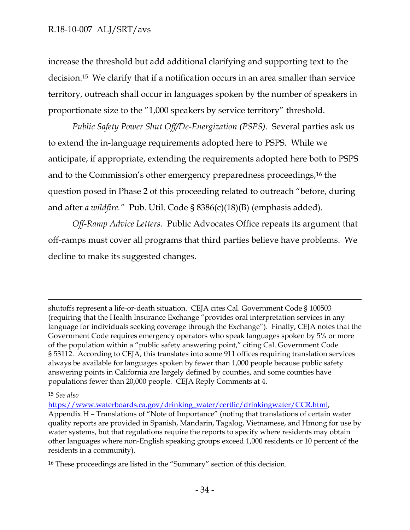increase the threshold but add additional clarifying and supporting text to the decision.15 We clarify that if a notification occurs in an area smaller than service territory, outreach shall occur in languages spoken by the number of speakers in proportionate size to the "1,000 speakers by service territory" threshold.

*Public Safety Power Shut Off/De-Energization (PSPS)*. Several parties ask us to extend the in-language requirements adopted here to PSPS. While we anticipate, if appropriate, extending the requirements adopted here both to PSPS and to the Commission's other emergency preparedness proceedings,<sup>16</sup> the question posed in Phase 2 of this proceeding related to outreach "before, during and after *a wildfire."* Pub. Util. Code § 8386(c)(18)(B) (emphasis added).

*Off-Ramp Advice Letters.* Public Advocates Office repeats its argument that off-ramps must cover all programs that third parties believe have problems. We decline to make its suggested changes.

shutoffs represent a life-or-death situation. CEJA cites Cal. Government Code § 100503 (requiring that the Health Insurance Exchange "provides oral interpretation services in any language for individuals seeking coverage through the Exchange"). Finally, CEJA notes that the Government Code requires emergency operators who speak languages spoken by 5% or more of the population within a "public safety answering point," citing Cal. Government Code § 53112. According to CEJA, this translates into some 911 offices requiring translation services always be available for languages spoken by fewer than 1,000 people because public safety answering points in California are largely defined by counties, and some counties have populations fewer than 20,000 people. CEJA Reply Comments at 4.

<sup>15</sup> *See also* 

 $\overline{a}$ 

[https://www.waterboards.ca.gov/drinking\\_water/certlic/drinkingwater/CCR.html,](https://www.waterboards.ca.gov/drinking_water/certlic/drinkingwater/CCR.html) Appendix H – Translations of "Note of Importance" (noting that translations of certain water quality reports are provided in Spanish, Mandarin, Tagalog, Vietnamese, and Hmong for use by water systems, but that regulations require the reports to specify where residents may obtain other languages where non-English speaking groups exceed 1,000 residents or 10 percent of the residents in a community).

<sup>16</sup> These proceedings are listed in the "Summary" section of this decision.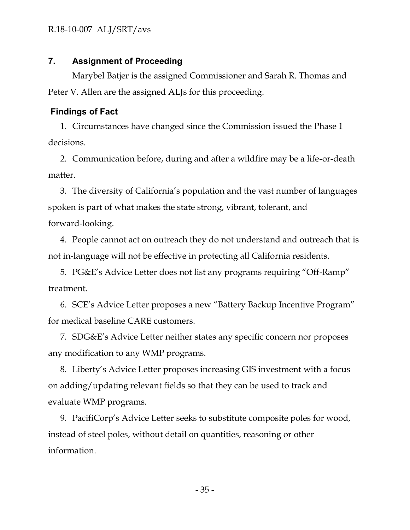#### <span id="page-35-0"></span>**7. Assignment of Proceeding**

Marybel Batjer is the assigned Commissioner and Sarah R. Thomas and Peter V. Allen are the assigned ALJs for this proceeding.

#### <span id="page-35-1"></span>**Findings of Fact**

1. Circumstances have changed since the Commission issued the Phase 1 decisions.

2. Communication before, during and after a wildfire may be a life-or-death matter.

3. The diversity of California's population and the vast number of languages spoken is part of what makes the state strong, vibrant, tolerant, and forward-looking.

4. People cannot act on outreach they do not understand and outreach that is not in-language will not be effective in protecting all California residents.

5. PG&E's Advice Letter does not list any programs requiring "Off-Ramp" treatment.

6. SCE's Advice Letter proposes a new "Battery Backup Incentive Program" for medical baseline CARE customers.

7. SDG&E's Advice Letter neither states any specific concern nor proposes any modification to any WMP programs.

8. Liberty's Advice Letter proposes increasing GIS investment with a focus on adding/updating relevant fields so that they can be used to track and evaluate WMP programs.

9. PacifiCorp's Advice Letter seeks to substitute composite poles for wood, instead of steel poles, without detail on quantities, reasoning or other information.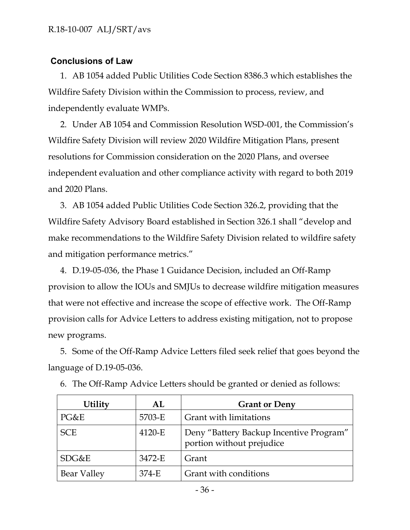### <span id="page-36-0"></span>**Conclusions of Law**

1. AB 1054 added Public Utilities Code Section 8386.3 which establishes the Wildfire Safety Division within the Commission to process, review, and independently evaluate WMPs.

2. Under AB 1054 and Commission Resolution WSD-001, the Commission's Wildfire Safety Division will review 2020 Wildfire Mitigation Plans, present resolutions for Commission consideration on the 2020 Plans, and oversee independent evaluation and other compliance activity with regard to both 2019 and 2020 Plans.

3. AB 1054 added Public Utilities Code Section 326.2, providing that the Wildfire Safety Advisory Board established in Section 326.1 shall "develop and make recommendations to the Wildfire Safety Division related to wildfire safety and mitigation performance metrics."

4. D.19-05-036, the Phase 1 Guidance Decision, included an Off-Ramp provision to allow the IOUs and SMJUs to decrease wildfire mitigation measures that were not effective and increase the scope of effective work. The Off-Ramp provision calls for Advice Letters to address existing mitigation, not to propose new programs.

5. Some of the Off-Ramp Advice Letters filed seek relief that goes beyond the language of D.19-05-036.

| <b>Utility</b>     | AL     | <b>Grant or Deny</b>                                                 |
|--------------------|--------|----------------------------------------------------------------------|
| PG&E               | 5703-E | Grant with limitations                                               |
| <b>SCE</b>         | 4120-E | Deny "Battery Backup Incentive Program"<br>portion without prejudice |
| SDG&E              | 3472-E | Grant                                                                |
| <b>Bear Valley</b> | 374-E  | Grant with conditions                                                |

6. The Off-Ramp Advice Letters should be granted or denied as follows: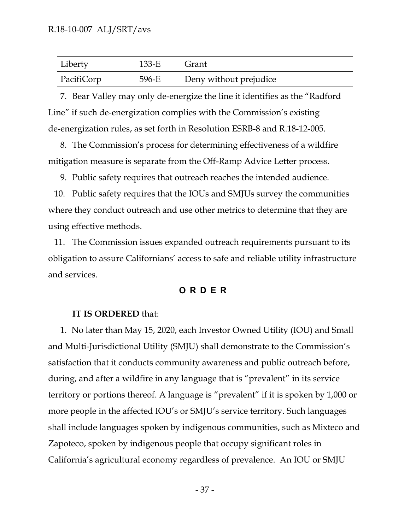| Liberty    | $133-E$ | Grant                  |
|------------|---------|------------------------|
| PacifiCorp | 596-E   | Deny without prejudice |

7. Bear Valley may only de-energize the line it identifies as the "Radford Line" if such de-energization complies with the Commission's existing de-energization rules, as set forth in Resolution ESRB-8 and R.18-12-005.

8. The Commission's process for determining effectiveness of a wildfire mitigation measure is separate from the Off-Ramp Advice Letter process.

9. Public safety requires that outreach reaches the intended audience.

10. Public safety requires that the IOUs and SMJUs survey the communities where they conduct outreach and use other metrics to determine that they are using effective methods.

11. The Commission issues expanded outreach requirements pursuant to its obligation to assure Californians' access to safe and reliable utility infrastructure and services.

### **ORD E R**

#### <span id="page-37-0"></span>**IT IS ORDERED** that:

1. No later than May 15, 2020, each Investor Owned Utility (IOU) and Small and Multi-Jurisdictional Utility (SMJU) shall demonstrate to the Commission's satisfaction that it conducts community awareness and public outreach before, during, and after a wildfire in any language that is "prevalent" in its service territory or portions thereof. A language is "prevalent" if it is spoken by 1,000 or more people in the affected IOU's or SMJU's service territory. Such languages shall include languages spoken by indigenous communities, such as Mixteco and Zapoteco, spoken by indigenous people that occupy significant roles in California's agricultural economy regardless of prevalence. An IOU or SMJU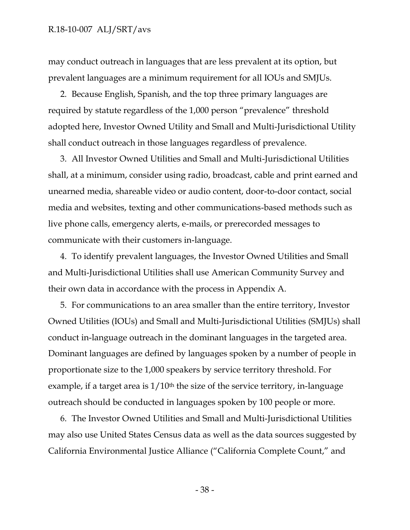#### R.18-10-007 ALJ/SRT/avs

may conduct outreach in languages that are less prevalent at its option, but prevalent languages are a minimum requirement for all IOUs and SMJUs.

2. Because English, Spanish, and the top three primary languages are required by statute regardless of the 1,000 person "prevalence" threshold adopted here, Investor Owned Utility and Small and Multi-Jurisdictional Utility shall conduct outreach in those languages regardless of prevalence.

3. All Investor Owned Utilities and Small and Multi-Jurisdictional Utilities shall, at a minimum, consider using radio, broadcast, cable and print earned and unearned media, shareable video or audio content, door-to-door contact, social media and websites, texting and other communications-based methods such as live phone calls, emergency alerts, e-mails, or prerecorded messages to communicate with their customers in-language.

4. To identify prevalent languages, the Investor Owned Utilities and Small and Multi-Jurisdictional Utilities shall use American Community Survey and their own data in accordance with the process in Appendix A.

5. For communications to an area smaller than the entire territory, Investor Owned Utilities (IOUs) and Small and Multi-Jurisdictional Utilities (SMJUs) shall conduct in-language outreach in the dominant languages in the targeted area. Dominant languages are defined by languages spoken by a number of people in proportionate size to the 1,000 speakers by service territory threshold. For example, if a target area is  $1/10<sup>th</sup>$  the size of the service territory, in-language outreach should be conducted in languages spoken by 100 people or more.

6. The Investor Owned Utilities and Small and Multi-Jurisdictional Utilities may also use United States Census data as well as the data sources suggested by California Environmental Justice Alliance ("California Complete Count," and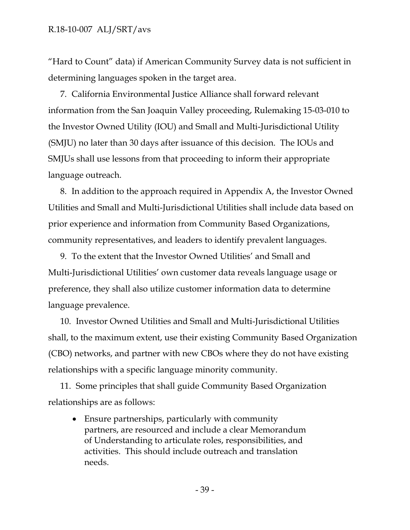"Hard to Count" data) if American Community Survey data is not sufficient in determining languages spoken in the target area.

7. California Environmental Justice Alliance shall forward relevant information from the San Joaquin Valley proceeding, Rulemaking 15-03-010 to the Investor Owned Utility (IOU) and Small and Multi-Jurisdictional Utility (SMJU) no later than 30 days after issuance of this decision. The IOUs and SMJUs shall use lessons from that proceeding to inform their appropriate language outreach.

8. In addition to the approach required in Appendix A, the Investor Owned Utilities and Small and Multi-Jurisdictional Utilities shall include data based on prior experience and information from Community Based Organizations, community representatives, and leaders to identify prevalent languages.

9. To the extent that the Investor Owned Utilities' and Small and Multi-Jurisdictional Utilities' own customer data reveals language usage or preference, they shall also utilize customer information data to determine language prevalence.

10. Investor Owned Utilities and Small and Multi-Jurisdictional Utilities shall, to the maximum extent, use their existing Community Based Organization (CBO) networks, and partner with new CBOs where they do not have existing relationships with a specific language minority community.

11. Some principles that shall guide Community Based Organization relationships are as follows:

 Ensure partnerships, particularly with community partners, are resourced and include a clear Memorandum of Understanding to articulate roles, responsibilities, and activities. This should include outreach and translation needs.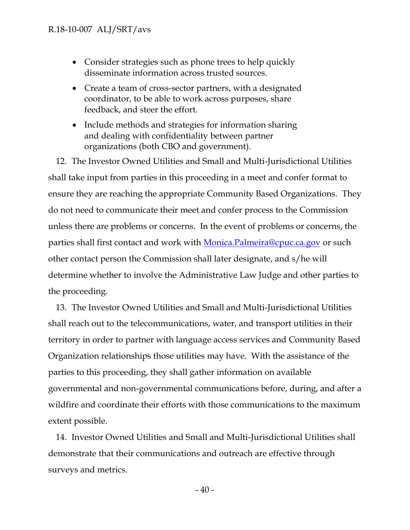- Consider strategies such as phone trees to help quickly disseminate information across trusted sources.
- Create a team of cross-sector partners, with a designated coordinator, to be able to work across purposes, share feedback, and steer the effort.
- Include methods and strategies for information sharing and dealing with confidentiality between partner organizations (both CBO and government).

12. The Investor Owned Utilities and Small and Multi-Jurisdictional Utilities shall take input from parties in this proceeding in a meet and confer format to ensure they are reaching the appropriate Community Based Organizations. They do not need to communicate their meet and confer process to the Commission unless there are problems or concerns. In the event of problems or concerns, the parties shall first contact and work with [Monica.Palmeira@cpuc.ca.gov](mailto:Monica.Palmeira@cpuc.ca.gov) or such other contact person the Commission shall later designate, and s/he will determine whether to involve the Administrative Law Judge and other parties to the proceeding.

13. The Investor Owned Utilities and Small and Multi-Jurisdictional Utilities shall reach out to the telecommunications, water, and transport utilities in their territory in order to partner with language access services and Community Based Organization relationships those utilities may have. With the assistance of the parties to this proceeding, they shall gather information on available governmental and non-governmental communications before, during, and after a wildfire and coordinate their efforts with those communications to the maximum extent possible.

14. Investor Owned Utilities and Small and Multi-Jurisdictional Utilities shall demonstrate that their communications and outreach are effective through surveys and metrics.

- 40 -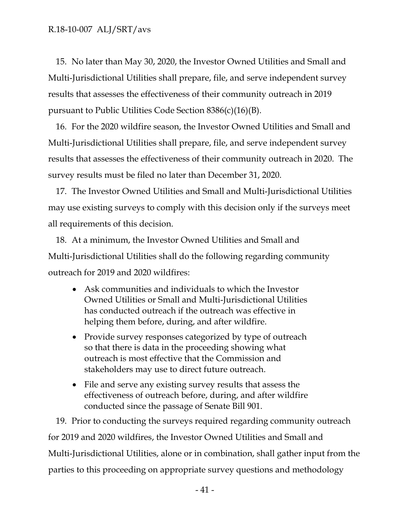15. No later than May 30, 2020, the Investor Owned Utilities and Small and Multi-Jurisdictional Utilities shall prepare, file, and serve independent survey results that assesses the effectiveness of their community outreach in 2019 pursuant to Public Utilities Code Section 8386(c)(16)(B).

16. For the 2020 wildfire season, the Investor Owned Utilities and Small and Multi-Jurisdictional Utilities shall prepare, file, and serve independent survey results that assesses the effectiveness of their community outreach in 2020. The survey results must be filed no later than December 31, 2020.

17. The Investor Owned Utilities and Small and Multi-Jurisdictional Utilities may use existing surveys to comply with this decision only if the surveys meet all requirements of this decision.

18. At a minimum, the Investor Owned Utilities and Small and Multi-Jurisdictional Utilities shall do the following regarding community outreach for 2019 and 2020 wildfires:

- Ask communities and individuals to which the Investor Owned Utilities or Small and Multi-Jurisdictional Utilities has conducted outreach if the outreach was effective in helping them before, during, and after wildfire.
- Provide survey responses categorized by type of outreach so that there is data in the proceeding showing what outreach is most effective that the Commission and stakeholders may use to direct future outreach.
- File and serve any existing survey results that assess the effectiveness of outreach before, during, and after wildfire conducted since the passage of Senate Bill 901.

19. Prior to conducting the surveys required regarding community outreach for 2019 and 2020 wildfires, the Investor Owned Utilities and Small and Multi-Jurisdictional Utilities, alone or in combination, shall gather input from the parties to this proceeding on appropriate survey questions and methodology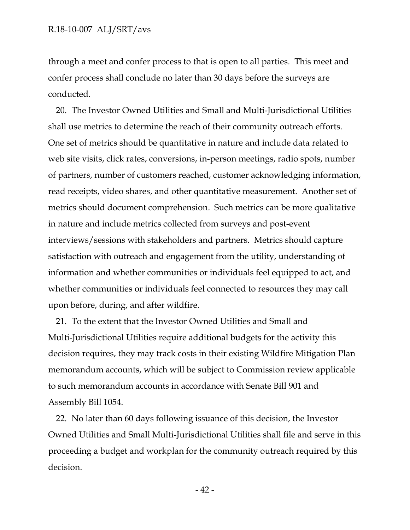through a meet and confer process to that is open to all parties. This meet and confer process shall conclude no later than 30 days before the surveys are conducted.

20. The Investor Owned Utilities and Small and Multi-Jurisdictional Utilities shall use metrics to determine the reach of their community outreach efforts. One set of metrics should be quantitative in nature and include data related to web site visits, click rates, conversions, in-person meetings, radio spots, number of partners, number of customers reached, customer acknowledging information, read receipts, video shares, and other quantitative measurement. Another set of metrics should document comprehension. Such metrics can be more qualitative in nature and include metrics collected from surveys and post-event interviews/sessions with stakeholders and partners. Metrics should capture satisfaction with outreach and engagement from the utility, understanding of information and whether communities or individuals feel equipped to act, and whether communities or individuals feel connected to resources they may call upon before, during, and after wildfire.

21. To the extent that the Investor Owned Utilities and Small and Multi-Jurisdictional Utilities require additional budgets for the activity this decision requires, they may track costs in their existing Wildfire Mitigation Plan memorandum accounts, which will be subject to Commission review applicable to such memorandum accounts in accordance with Senate Bill 901 and Assembly Bill 1054.

22. No later than 60 days following issuance of this decision, the Investor Owned Utilities and Small Multi-Jurisdictional Utilities shall file and serve in this proceeding a budget and workplan for the community outreach required by this decision.

- 42 -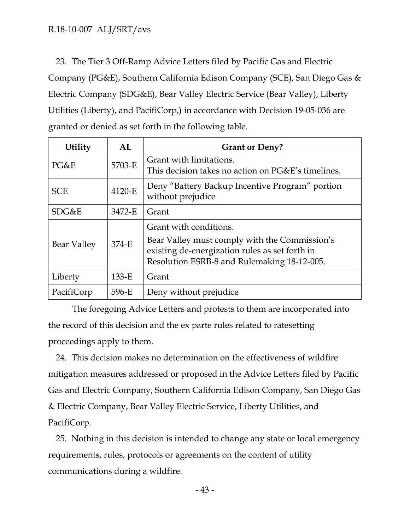23. The Tier 3 Off-Ramp Advice Letters filed by Pacific Gas and Electric Company (PG&E), Southern California Edison Company (SCE), San Diego Gas & Electric Company (SDG&E), Bear Valley Electric Service (Bear Valley), Liberty Utilities (Liberty), and PacifiCorp,) in accordance with Decision 19-05-036 are granted or denied as set forth in the following table.

| <b>Utility</b> | AL      | <b>Grant or Deny?</b>                                                                                                                                                    |
|----------------|---------|--------------------------------------------------------------------------------------------------------------------------------------------------------------------------|
| PG&E           | 5703-E  | Grant with limitations.<br>This decision takes no action on PG&E's timelines.                                                                                            |
| <b>SCE</b>     | 4120-E  | Deny "Battery Backup Incentive Program" portion<br>without prejudice                                                                                                     |
| SDG&E          | 3472-E  | Grant                                                                                                                                                                    |
| Bear Valley    | 374-E   | Grant with conditions.<br>Bear Valley must comply with the Commission's<br>existing de-energization rules as set forth in<br>Resolution ESRB-8 and Rulemaking 18-12-005. |
| Liberty        | $133-E$ | Grant                                                                                                                                                                    |
| PacifiCorp     | 596-E   | Deny without prejudice                                                                                                                                                   |

The foregoing Advice Letters and protests to them are incorporated into the record of this decision and the ex parte rules related to ratesetting proceedings apply to them.

24. This decision makes no determination on the effectiveness of wildfire mitigation measures addressed or proposed in the Advice Letters filed by Pacific Gas and Electric Company, Southern California Edison Company, San Diego Gas & Electric Company, Bear Valley Electric Service, Liberty Utilities, and PacifiCorp.

25. Nothing in this decision is intended to change any state or local emergency requirements, rules, protocols or agreements on the content of utility communications during a wildfire.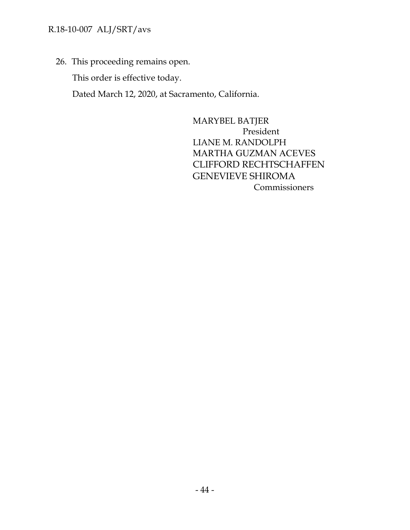# R.18-10-007 ALJ/SRT/avs

26. This proceeding remains open.

This order is effective today.

Dated March 12, 2020, at Sacramento, California.

MARYBEL BATJER President LIANE M. RANDOLPH MARTHA GUZMAN ACEVES CLIFFORD RECHTSCHAFFEN GENEVIEVE SHIROMA Commissioners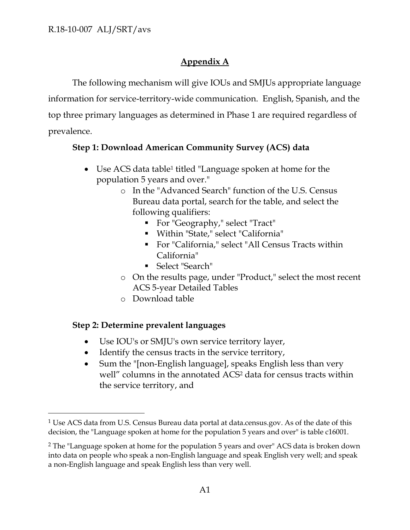# **Appendix A**

The following mechanism will give IOUs and SMJUs appropriate language information for service-territory-wide communication. English, Spanish, and the top three primary languages as determined in Phase 1 are required regardless of prevalence.

# **Step 1: Download American Community Survey (ACS) data**

- Use ACS data table<sup>1</sup> titled "Language spoken at home for the population 5 years and over."
	- o In the "Advanced Search" function of the U.S. Census Bureau data portal, search for the table, and select the following qualifiers:
		- For "Geography," select "Tract"
		- Within "State," select "California"
		- For "California," select "All Census Tracts within California"
		- Select "Search"
	- o On the results page, under "Product," select the most recent ACS 5-year Detailed Tables
	- o Download table

# **Step 2: Determine prevalent languages**

 $\overline{a}$ 

- Use IOU's or SMJU's own service territory layer,
- Identify the census tracts in the service territory,
- Sum the "[non-English language], speaks English less than very well" columns in the annotated ACS<sup>2</sup> data for census tracts within the service territory, and

<sup>&</sup>lt;sup>1</sup> Use ACS data from U.S. Census Bureau data portal at data.census.gov. As of the date of this decision, the "Language spoken at home for the population 5 years and over" is table c16001.

<sup>2</sup> The "Language spoken at home for the population 5 years and over" ACS data is broken down into data on people who speak a non-English language and speak English very well; and speak a non-English language and speak English less than very well.